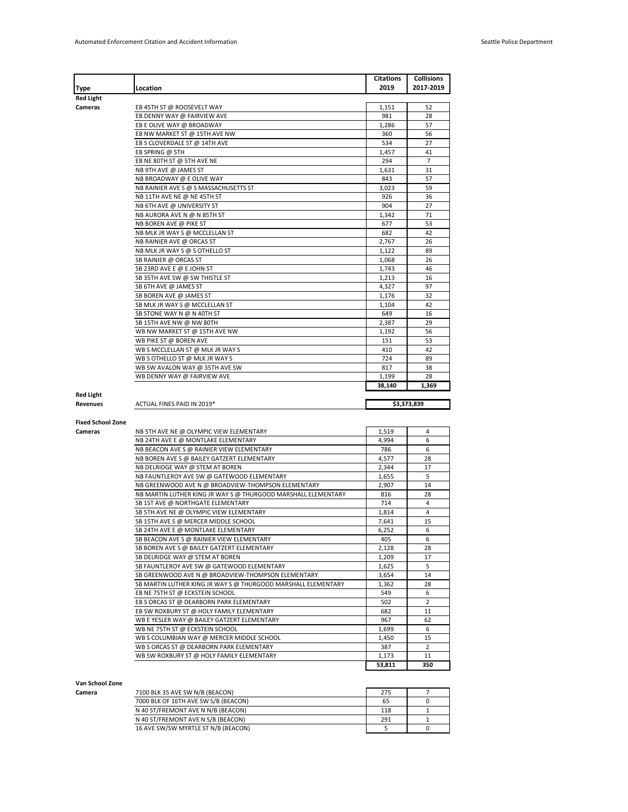|                                                 |                                                                                       |              | <b>Collisions</b>    |
|-------------------------------------------------|---------------------------------------------------------------------------------------|--------------|----------------------|
| Type                                            | Location                                                                              | 2019         | 2017-2019            |
| <b>Red Light</b>                                |                                                                                       |              |                      |
| Cameras                                         | EB 45TH ST @ ROOSEVELT WAY                                                            | 1,151        | 52                   |
|                                                 | EB DENNY WAY @ FAIRVIEW AVE                                                           | 981          | 28                   |
|                                                 | EB E OLIVE WAY @ BROADWAY                                                             | 1,286        | 57                   |
|                                                 | EB NW MARKET ST @ 15TH AVE NW<br>EB S CLOVERDALE ST @ 14TH AVE                        | 360<br>534   | 56<br>27             |
|                                                 | EB SPRING @ 5TH                                                                       | 1,457        | 41                   |
|                                                 |                                                                                       | 294          | 7                    |
|                                                 | EB NE 80TH ST @ 5TH AVE NE<br>NB 9TH AVE @ JAMES ST                                   | 1,631        | 31                   |
|                                                 | NB BROADWAY @ E OLIVE WAY                                                             | 843          | 57                   |
|                                                 | NB RAINIER AVE S @ S MASSACHUSETTS ST                                                 | 3,023        | 59                   |
|                                                 | NB 11TH AVE NE @ NE 45TH ST                                                           | 926          | 36                   |
|                                                 | NB 6TH AVE @ UNIVERSITY ST                                                            | 904          | 27                   |
|                                                 | NB AURORA AVE N @ N 85TH ST                                                           | 1,342        | 71                   |
|                                                 | NB BOREN AVE @ PIKE ST                                                                | 677          | 53                   |
|                                                 | NB MLK JR WAY S @ MCCLELLAN ST                                                        | 682          | 42                   |
|                                                 | NB RAINIER AVE @ ORCAS ST                                                             | 2,767        | 26                   |
|                                                 | NB MLK JR WAY S @ S OTHELLO ST                                                        | 1,122        | 89                   |
|                                                 | SB RAINIER @ ORCAS ST                                                                 | 1,068        | 26                   |
|                                                 | SB 23RD AVE E @ E JOHN ST                                                             | 1,743        | 46                   |
|                                                 | SB 35TH AVE SW @ SW THISTLE ST                                                        | 1,213        | 16                   |
|                                                 | SB 6TH AVE @ JAMES ST                                                                 | 4,327        | 97                   |
|                                                 | SB BOREN AVE @ JAMES ST                                                               | 1,176        | 32                   |
|                                                 | SB MLK JR WAY S @ MCCLELLAN ST                                                        | 1,104        | 42                   |
|                                                 | SB STONE WAY N @ N 40TH ST                                                            | 649          | 16                   |
|                                                 | SB 15TH AVE NW @ NW 80TH                                                              | 2,387        | 29                   |
|                                                 | WB NW MARKET ST @ 15TH AVE NW                                                         | 1,192        | 56                   |
|                                                 | WB PIKE ST @ BOREN AVE                                                                | 151          | 53                   |
|                                                 |                                                                                       |              | 42                   |
|                                                 | WB S MCCLELLAN ST @ MLK JR WAY S                                                      | 410          |                      |
|                                                 | WB S OTHELLO ST @ MLK JR WAY S                                                        | 724          | 89                   |
|                                                 | WB SW AVALON WAY @ 35TH AVE SW                                                        | 817          | 38                   |
|                                                 | WB DENNY WAY @ FAIRVIEW AVE                                                           | 1,199        | 28                   |
|                                                 |                                                                                       | 38,140       | 1,369                |
| <b>Red Light</b>                                |                                                                                       |              |                      |
|                                                 | ACTUAL FINES PAID IN 2019*                                                            |              | \$3,373,839          |
|                                                 |                                                                                       |              |                      |
|                                                 |                                                                                       |              |                      |
|                                                 | NB 5TH AVE NE @ OLYMPIC VIEW ELEMENTARY                                               | 1,519        | 4                    |
|                                                 | NB 24TH AVE E @ MONTLAKE ELEMENTARY                                                   | 4,994        | 6                    |
|                                                 | NB BEACON AVE S @ RAINIER VIEW ELEMENTARY                                             | 786          | 6                    |
|                                                 | NB BOREN AVE S @ BAILEY GATZERT ELEMENTARY                                            | 4,577        | 28                   |
|                                                 | NB DELRIDGE WAY @ STEM AT BOREN                                                       | 2,344        | 17                   |
|                                                 | NB FAUNTLEROY AVE SW @ GATEWOOD ELEMENTARY                                            | 1.655        | 5                    |
|                                                 | NB GREENWOOD AVE N @ BROADVIEW-THOMPSON ELEMENTARY                                    | 2,907        | 14                   |
|                                                 | NB MARTIN LUTHER KING JR WAY S @ THURGOOD MARSHALL ELEMENTARY                         | 816          | 28                   |
|                                                 | SB 1ST AVE @ NORTHGATE ELEMENTARY                                                     | 714          | 4                    |
|                                                 | SB 5TH AVE NE @ OLYMPIC VIEW ELEMENTARY                                               | 1,814        | 4                    |
|                                                 | SB 15TH AVE S @ MERCER MIDDLE SCHOOL                                                  | 7,641        | 15                   |
|                                                 | SB 24TH AVE E @ MONTLAKE ELEMENTARY                                                   | 6,252        | 6                    |
|                                                 | SB BEACON AVE S @ RAINIER VIEW ELEMENTARY                                             | 405          | 6                    |
|                                                 | SB BOREN AVE S @ BAILEY GATZERT ELEMENTARY                                            | 2,128        | 28                   |
|                                                 | SB DELRIDGE WAY @ STEM AT BOREN                                                       | 1,209        | 17                   |
|                                                 | SB FAUNTLEROY AVE SW @ GATEWOOD ELEMENTARY                                            | 1,625        | 5                    |
|                                                 | SB GREENWOOD AVE N @ BROADVIEW-THOMPSON ELEMENTARY                                    | 3,654        | 14                   |
|                                                 | SB MARTIN LUTHER KING JR WAY S @ THURGOOD MARSHALL ELEMENTARY                         | 1,362        | 28                   |
|                                                 | EB NE 75TH ST @ ECKSTEIN SCHOOL                                                       | 549          | 6                    |
|                                                 | EB S ORCAS ST @ DEARBORN PARK ELEMENTARY                                              | 502          | $\overline{2}$       |
|                                                 | EB SW ROXBURY ST @ HOLY FAMILY ELEMENTARY                                             | 682          | 11                   |
|                                                 | WB E YESLER WAY @ BAILEY GATZERT ELEMENTARY                                           | 967          | 62                   |
|                                                 | WB NE 75TH ST @ ECKSTEIN SCHOOL                                                       | 1,699        | 6                    |
| Revenues<br><b>Fixed School Zone</b><br>Cameras | WB S COLUMBIAN WAY @ MERCER MIDDLE SCHOOL                                             | 1,450        | 15                   |
|                                                 | WB S ORCAS ST @ DEARBORN PARK ELEMENTARY<br>WB SW ROXBURY ST @ HOLY FAMILY ELEMENTARY | 387<br>1,173 | $\overline{2}$<br>11 |

## **Van School Zone**

**Camera** 27100 BLK 35 AVE SW N/B (BEACON) 275 275 7 7000 BLK OF 16TH AVE SW S/B (BEACON) 65 0 N 40 ST/FREMONT AVE N N/B (BEACON) 118 118 1<br>N 40 ST/FREMONT AVE N S/B (BEACON) 291 1 N 40 ST/FREMONT AVE N S/B (BEACON) 291 1 291 1

16 AVE SW/SW MYRTLE ST N/B (BEACON) 5 0